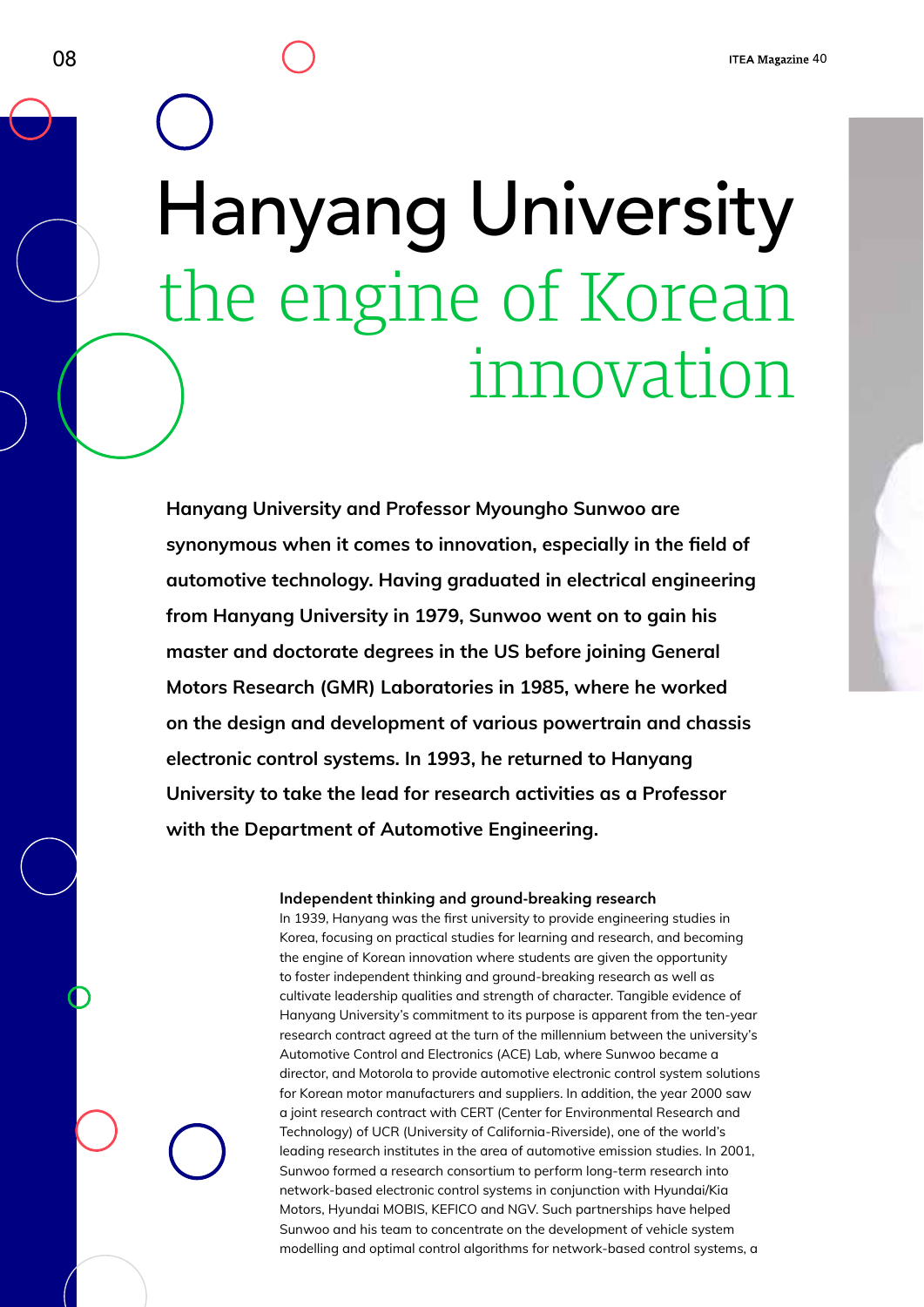# Hanyang University the engine of Korean innovation

**Hanyang University and Professor Myoungho Sunwoo are synonymous when it comes to innovation, especially in the field of automotive technology. Having graduated in electrical engineering from Hanyang University in 1979, Sunwoo went on to gain his master and doctorate degrees in the US before joining General Motors Research (GMR) Laboratories in 1985, where he worked on the design and development of various powertrain and chassis electronic control systems. In 1993, he returned to Hanyang University to take the lead for research activities as a Professor with the Department of Automotive Engineering.** 

### **Independent thinking and ground-breaking research**

In 1939, Hanyang was the first university to provide engineering studies in Korea, focusing on practical studies for learning and research, and becoming the engine of Korean innovation where students are given the opportunity to foster independent thinking and ground-breaking research as well as cultivate leadership qualities and strength of character. Tangible evidence of Hanyang University's commitment to its purpose is apparent from the ten-year research contract agreed at the turn of the millennium between the university's Automotive Control and Electronics (ACE) Lab, where Sunwoo became a director, and Motorola to provide automotive electronic control system solutions for Korean motor manufacturers and suppliers. In addition, the year 2000 saw a joint research contract with CERT (Center for Environmental Research and Technology) of UCR (University of California-Riverside), one of the world's leading research institutes in the area of automotive emission studies. In 2001, Sunwoo formed a research consortium to perform long-term research into network-based electronic control systems in conjunction with Hyundai/Kia Motors, Hyundai MOBIS, KEFICO and NGV. Such partnerships have helped Sunwoo and his team to concentrate on the development of vehicle system modelling and optimal control algorithms for network-based control systems, a